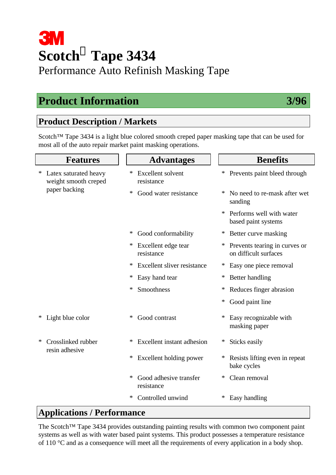# **Scotch Tape 3434** Performance Auto Refinish Masking Tape

# **Product Information 3/96**

# **Product Description / Markets**

Scotch™ Tape 3434 is a light blue colored smooth creped paper masking tape that can be used for most all of the auto repair market paint masking operations.

| <b>Features</b>                                                     | <b>Advantages</b>                           | <b>Benefits</b>                                             |  |  |  |
|---------------------------------------------------------------------|---------------------------------------------|-------------------------------------------------------------|--|--|--|
| Latex saturated heavy<br>∗<br>weight smooth creped<br>paper backing | <b>Excellent</b> solvent<br>∗<br>resistance | Prevents paint bleed through<br>∗                           |  |  |  |
|                                                                     | $\ast$<br>Good water resistance             | No need to re-mask after wet<br>∗<br>sanding                |  |  |  |
|                                                                     |                                             | Performs well with water<br>∗<br>based paint systems        |  |  |  |
|                                                                     | ∗<br>Good conformability                    | ∗<br>Better curve masking                                   |  |  |  |
|                                                                     | ∗<br>Excellent edge tear<br>resistance      | Prevents tearing in curves or<br>∗<br>on difficult surfaces |  |  |  |
|                                                                     | Excellent sliver resistance<br>∗            | Easy one piece removal<br>∗                                 |  |  |  |
|                                                                     | ∗<br>Easy hand tear                         | Better handling<br>∗                                        |  |  |  |
|                                                                     | Smoothness<br>∗                             | Reduces finger abrasion<br>∗                                |  |  |  |
|                                                                     |                                             | ∗<br>Good paint line                                        |  |  |  |
| Light blue color<br>∗                                               | Good contrast<br>∗                          | Easy recognizable with<br>∗<br>masking paper                |  |  |  |
| Crosslinked rubber<br>∗<br>resin adhesive                           | <b>Excellent</b> instant adhesion<br>∗      | Sticks easily<br>∗                                          |  |  |  |
|                                                                     | $\ast$<br>Excellent holding power           | Resists lifting even in repeat<br>∗<br>bake cycles          |  |  |  |
|                                                                     | Good adhesive transfer<br>∗<br>resistance   | Clean removal<br>∗                                          |  |  |  |
|                                                                     | Controlled unwind<br>∗                      | ∗<br>Easy handling                                          |  |  |  |
| $\lambda$ proling tions (Doute                                      |                                             |                                                             |  |  |  |

## **Applications / Performance**

The Scotch™ Tape 3434 provides outstanding painting results with common two component paint systems as well as with water based paint systems. This product possesses a temperature resistance of 110 °C and as a consequence will meet all the requirements of every application in a body shop.